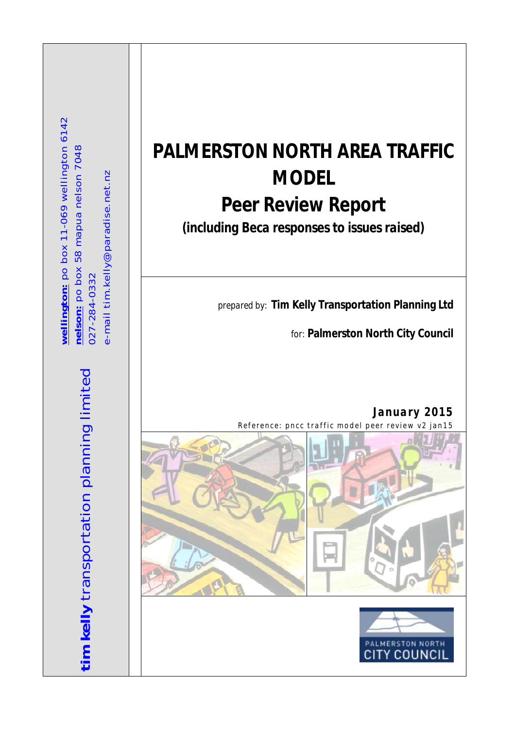wellington: po box 11-069 wellington 6142 **we l li ngt on:** po b ox 1 1-0 6 9 wellingt o n 6 1 42 **ne lson :** p o b ox 58 m ap ua nels on 7 04 8 nelson: po box 58 mapua nelson 7048 e-mail tim.kelly@paradise.net.nz e-mail tim.kelly@paradise.net.nz 0 27-28 4-03 3 2 027-284-0332

> tim kelly transportation planning limited **tim kelly** transportation planning limited

# **PALMERSTON NORTH AREA TRAFFIC MODEL Peer Review Report**

*(including Beca responses to issues raised)*

*prepared by:* **Tim Kelly Transportation Planning Ltd**

*for:* **Palmerston North City Council**

*January 2015 Reference: pncc traffic model peer review v2 jan15* 



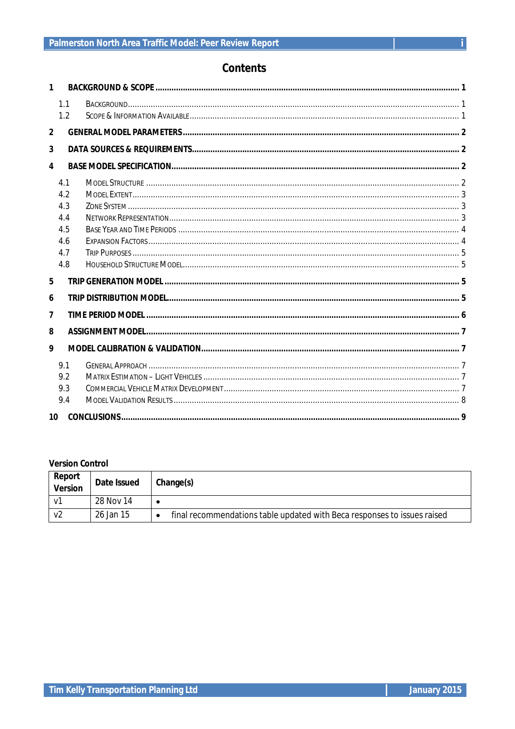### **Contents**

| 1              |     |  |  |  |  |  |
|----------------|-----|--|--|--|--|--|
|                | 1.1 |  |  |  |  |  |
|                | 1.2 |  |  |  |  |  |
| $\overline{2}$ |     |  |  |  |  |  |
| 3              |     |  |  |  |  |  |
| 4              |     |  |  |  |  |  |
|                | 4.1 |  |  |  |  |  |
|                | 4.2 |  |  |  |  |  |
|                | 4.3 |  |  |  |  |  |
|                | 4.4 |  |  |  |  |  |
|                | 4.5 |  |  |  |  |  |
|                | 4.6 |  |  |  |  |  |
|                | 4.7 |  |  |  |  |  |
|                | 4.8 |  |  |  |  |  |
| 5              |     |  |  |  |  |  |
| 6              |     |  |  |  |  |  |
| 7              |     |  |  |  |  |  |
| 8              |     |  |  |  |  |  |
| 9              |     |  |  |  |  |  |
|                | 9.1 |  |  |  |  |  |
|                | 9.2 |  |  |  |  |  |
|                | 9.3 |  |  |  |  |  |
|                | 9.4 |  |  |  |  |  |
| 10             |     |  |  |  |  |  |

### **Version Control**

| Report<br><b>Version</b> | Date Issued | Change(s)                                                                |
|--------------------------|-------------|--------------------------------------------------------------------------|
|                          | 28 Nov 14   |                                                                          |
| v2                       | 26 Jan 15   | final recommendations table updated with Beca responses to issues raised |

 $\mathbf{i}$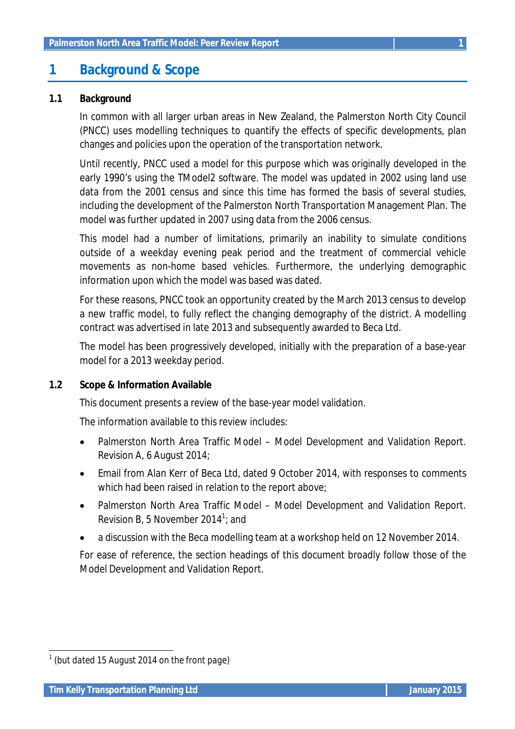### **1 Background & Scope**

### **1.1 Background**

In common with all larger urban areas in New Zealand, the Palmerston North City Council (PNCC) uses modelling techniques to quantify the effects of specific developments, plan changes and policies upon the operation of the transportation network.

Until recently, PNCC used a model for this purpose which was originally developed in the early 1990's using the TModel2 software. The model was updated in 2002 using land use data from the 2001 census and since this time has formed the basis of several studies, including the development of the Palmerston North Transportation Management Plan. The model was further updated in 2007 using data from the 2006 census.

This model had a number of limitations, primarily an inability to simulate conditions outside of a weekday evening peak period and the treatment of commercial vehicle movements as non-home based vehicles. Furthermore, the underlying demographic information upon which the model was based was dated.

For these reasons, PNCC took an opportunity created by the March 2013 census to develop a new traffic model, to fully reflect the changing demography of the district. A modelling contract was advertised in late 2013 and subsequently awarded to Beca Ltd.

The model has been progressively developed, initially with the preparation of a base-year model for a 2013 weekday period.

#### **1.2 Scope & Information Available**

This document presents a review of the base-year model validation.

The information available to this review includes:

- Palmerston North Area Traffic Model Model Development and Validation Report. Revision A, 6 August 2014;
- Email from Alan Kerr of Beca Ltd, dated 9 October 2014, with responses to comments which had been raised in relation to the report above;
- Palmerston North Area Traffic Model Model Development and Validation Report. Revision B, 5 November 2014 $^1$ ; and
- a discussion with the Beca modelling team at a workshop held on 12 November 2014.

For ease of reference, the section headings of this document broadly follow those of the Model Development and Validation Report.

 *1 (but dated 15 August 2014 on the front page)*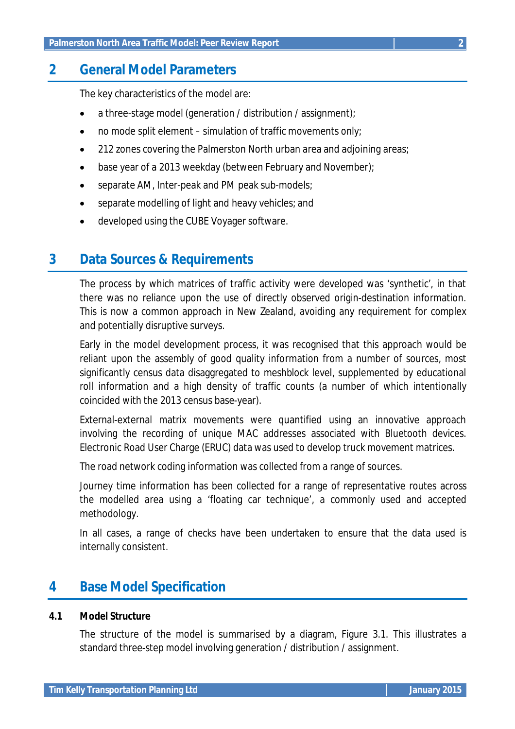### **2 General Model Parameters**

The key characteristics of the model are:

- a three-stage model (generation / distribution / assignment);
- $\bullet$  no mode split element simulation of traffic movements only;
- 212 zones covering the Palmerston North urban area and adjoining areas;
- base year of a 2013 weekday (between February and November);
- separate AM, Inter-peak and PM peak sub-models;
- separate modelling of light and heavy vehicles; and
- developed using the CUBE Voyager software.

### **3 Data Sources & Requirements**

The process by which matrices of traffic activity were developed was 'synthetic', in that there was no reliance upon the use of directly observed origin-destination information. This is now a common approach in New Zealand, avoiding any requirement for complex and potentially disruptive surveys.

Early in the model development process, it was recognised that this approach would be reliant upon the assembly of good quality information from a number of sources, most significantly census data disaggregated to meshblock level, supplemented by educational roll information and a high density of traffic counts (a number of which intentionally coincided with the 2013 census base-year).

External-external matrix movements were quantified using an innovative approach involving the recording of unique MAC addresses associated with Bluetooth devices. Electronic Road User Charge (ERUC) data was used to develop truck movement matrices.

The road network coding information was collected from a range of sources.

Journey time information has been collected for a range of representative routes across the modelled area using a 'floating car technique', a commonly used and accepted methodology.

In all cases, a range of checks have been undertaken to ensure that the data used is internally consistent.

# **4 Base Model Specification**

#### **4.1 Model Structure**

The structure of the model is summarised by a diagram, Figure 3.1. This illustrates a standard three-step model involving generation / distribution / assignment.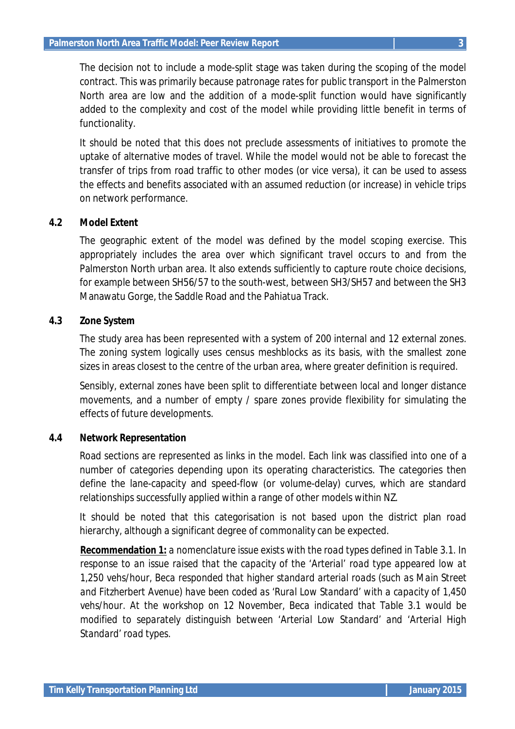The decision not to include a mode-split stage was taken during the scoping of the model contract. This was primarily because patronage rates for public transport in the Palmerston North area are low and the addition of a mode-split function would have significantly added to the complexity and cost of the model while providing little benefit in terms of functionality.

It should be noted that this does not preclude assessments of initiatives to promote the uptake of alternative modes of travel. While the model would not be able to forecast the transfer of trips from road traffic to other modes (or vice versa), it can be used to assess the effects and benefits associated with an assumed reduction (or increase) in vehicle trips on network performance.

### **4.2 Model Extent**

The geographic extent of the model was defined by the model scoping exercise. This appropriately includes the area over which significant travel occurs to and from the Palmerston North urban area. It also extends sufficiently to capture route choice decisions, for example between SH56/57 to the south-west, between SH3/SH57 and between the SH3 Manawatu Gorge, the Saddle Road and the Pahiatua Track.

### **4.3 Zone System**

The study area has been represented with a system of 200 internal and 12 external zones. The zoning system logically uses census meshblocks as its basis, with the smallest zone sizes in areas closest to the centre of the urban area, where greater definition is required.

Sensibly, external zones have been split to differentiate between local and longer distance movements, and a number of empty / spare zones provide flexibility for simulating the effects of future developments.

#### **4.4 Network Representation**

Road sections are represented as links in the model. Each link was classified into one of a number of categories depending upon its operating characteristics. The categories then define the lane-capacity and speed-flow (or volume-delay) curves, which are standard relationships successfully applied within a range of other models within NZ.

It should be noted that this categorisation is not based upon the district plan road hierarchy, although a significant degree of commonality can be expected.

*Recommendation 1: a nomenclature issue exists with the road types defined in Table 3.1. In response to an issue raised that the capacity of the 'Arterial' road type appeared low at 1,250 vehs/hour, Beca responded that higher standard arterial roads (such as Main Street and Fitzherbert Avenue) have been coded as 'Rural Low Standard' with a capacity of 1,450 vehs/hour. At the workshop on 12 November, Beca indicated that Table 3.1 would be modified to separately distinguish between 'Arterial Low Standard' and 'Arterial High Standard' road types.*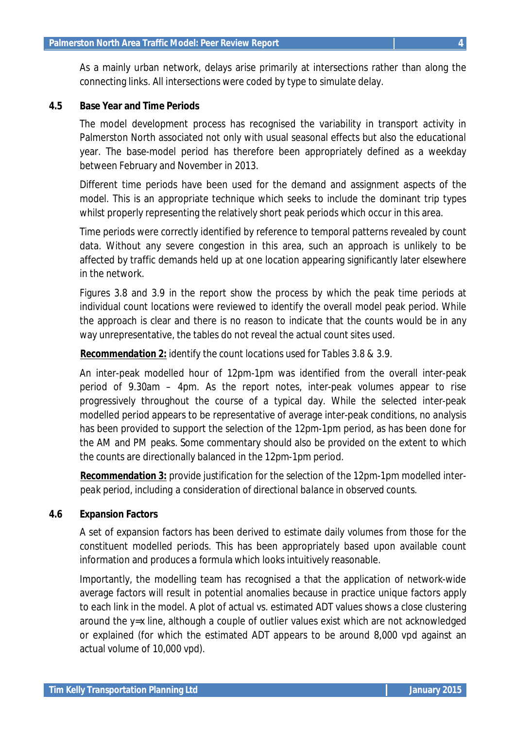As a mainly urban network, delays arise primarily at intersections rather than along the connecting links. All intersections were coded by type to simulate delay.

#### **4.5 Base Year and Time Periods**

The model development process has recognised the variability in transport activity in Palmerston North associated not only with usual seasonal effects but also the educational year. The base-model period has therefore been appropriately defined as a weekday between February and November in 2013.

Different time periods have been used for the demand and assignment aspects of the model. This is an appropriate technique which seeks to include the dominant trip types whilst properly representing the relatively short peak periods which occur in this area.

Time periods were correctly identified by reference to temporal patterns revealed by count data. Without any severe congestion in this area, such an approach is unlikely to be affected by traffic demands held up at one location appearing significantly later elsewhere in the network.

Figures 3.8 and 3.9 in the report show the process by which the peak time periods at individual count locations were reviewed to identify the overall model peak period. While the approach is clear and there is no reason to indicate that the counts would be in any way unrepresentative, the tables do not reveal the actual count sites used.

#### *Recommendation 2: identify the count locations used for Tables 3.8 & 3.9.*

An inter-peak modelled hour of 12pm-1pm was identified from the overall inter-peak period of 9.30am – 4pm. As the report notes, inter-peak volumes appear to rise progressively throughout the course of a typical day. While the selected inter-peak modelled period appears to be representative of average inter-peak conditions, no analysis has been provided to support the selection of the 12pm-1pm period, as has been done for the AM and PM peaks. Some commentary should also be provided on the extent to which the counts are directionally balanced in the 12pm-1pm period.

*Recommendation 3: provide justification for the selection of the 12pm-1pm modelled interpeak period, including a consideration of directional balance in observed counts.*

#### **4.6 Expansion Factors**

A set of expansion factors has been derived to estimate daily volumes from those for the constituent modelled periods. This has been appropriately based upon available count information and produces a formula which looks intuitively reasonable.

Importantly, the modelling team has recognised a that the application of network-wide average factors will result in potential anomalies because in practice unique factors apply to each link in the model. A plot of actual vs. estimated ADT values shows a close clustering around the y=x line, although a couple of outlier values exist which are not acknowledged or explained (for which the estimated ADT appears to be around 8,000 vpd against an actual volume of 10,000 vpd).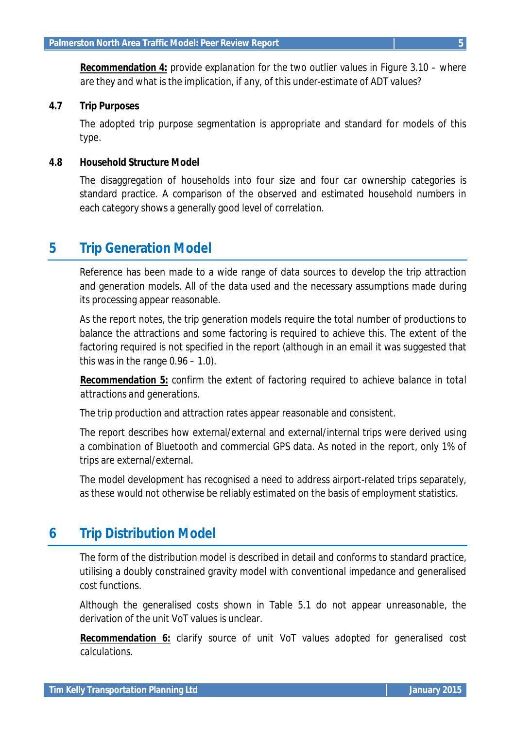*Recommendation 4: provide explanation for the two outlier values in Figure 3.10 – where are they and what is the implication, if any, of this under-estimate of ADT values?*

#### **4.7 Trip Purposes**

The adopted trip purpose segmentation is appropriate and standard for models of this type.

#### **4.8 Household Structure Model**

The disaggregation of households into four size and four car ownership categories is standard practice. A comparison of the observed and estimated household numbers in each category shows a generally good level of correlation.

### **5 Trip Generation Model**

Reference has been made to a wide range of data sources to develop the trip attraction and generation models. All of the data used and the necessary assumptions made during its processing appear reasonable.

As the report notes, the trip generation models require the total number of productions to balance the attractions and some factoring is required to achieve this. The extent of the factoring required is not specified in the report (although in an email it was suggested that this was in the range 0.96 – 1.0).

*Recommendation 5: confirm the extent of factoring required to achieve balance in total attractions and generations.*

The trip production and attraction rates appear reasonable and consistent.

The report describes how external/external and external/internal trips were derived using a combination of Bluetooth and commercial GPS data. As noted in the report, only 1% of trips are external/external.

The model development has recognised a need to address airport-related trips separately, as these would not otherwise be reliably estimated on the basis of employment statistics.

### **6 Trip Distribution Model**

The form of the distribution model is described in detail and conforms to standard practice, utilising a doubly constrained gravity model with conventional impedance and generalised cost functions.

Although the generalised costs shown in Table 5.1 do not appear unreasonable, the derivation of the unit VoT values is unclear.

*Recommendation 6: clarify source of unit VoT values adopted for generalised cost calculations.*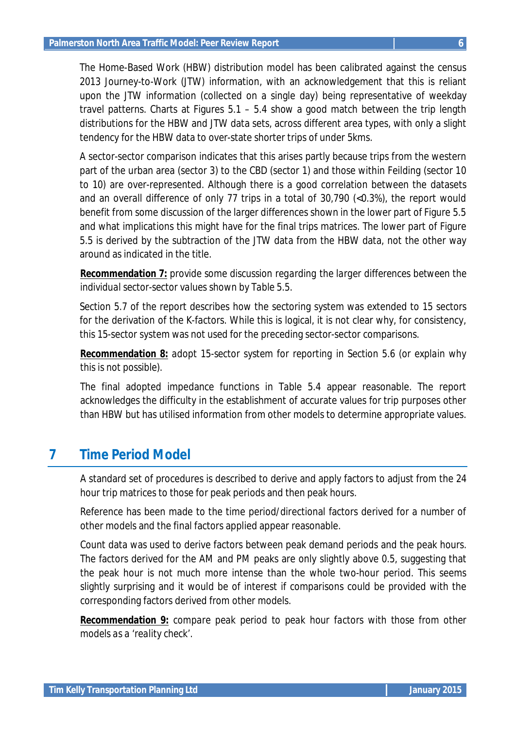The Home-Based Work (HBW) distribution model has been calibrated against the census 2013 Journey-to-Work (JTW) information, with an acknowledgement that this is reliant upon the JTW information (collected on a single day) being representative of weekday travel patterns. Charts at Figures 5.1 – 5.4 show a good match between the trip length distributions for the HBW and JTW data sets, across different area types, with only a slight tendency for the HBW data to over-state shorter trips of under 5kms.

A sector-sector comparison indicates that this arises partly because trips from the western part of the urban area (sector 3) to the CBD (sector 1) and those within Feilding (sector 10 to 10) are over-represented. Although there is a good correlation between the datasets and an overall difference of only 77 trips in a total of 30,790 (<0.3%), the report would benefit from some discussion of the larger differences shown in the lower part of Figure 5.5 and what implications this might have for the final trips matrices. The lower part of Figure 5.5 is derived by the subtraction of the JTW data from the HBW data, not the other way around as indicated in the title.

*Recommendation 7: provide some discussion regarding the larger differences between the individual sector-sector values shown by Table 5.5.*

Section 5.7 of the report describes how the sectoring system was extended to 15 sectors for the derivation of the K-factors. While this is logical, it is not clear why, for consistency, this 15-sector system was not used for the preceding sector-sector comparisons.

*Recommendation 8: adopt 15-sector system for reporting in Section 5.6 (or explain why this is not possible).*

The final adopted impedance functions in Table 5.4 appear reasonable. The report acknowledges the difficulty in the establishment of accurate values for trip purposes other than HBW but has utilised information from other models to determine appropriate values.

## **7 Time Period Model**

A standard set of procedures is described to derive and apply factors to adjust from the 24 hour trip matrices to those for peak periods and then peak hours.

Reference has been made to the time period/directional factors derived for a number of other models and the final factors applied appear reasonable.

Count data was used to derive factors between peak demand periods and the peak hours. The factors derived for the AM and PM peaks are only slightly above 0.5, suggesting that the peak hour is not much more intense than the whole two-hour period. This seems slightly surprising and it would be of interest if comparisons could be provided with the corresponding factors derived from other models.

*Recommendation 9: compare peak period to peak hour factors with those from other models as a 'reality check'.*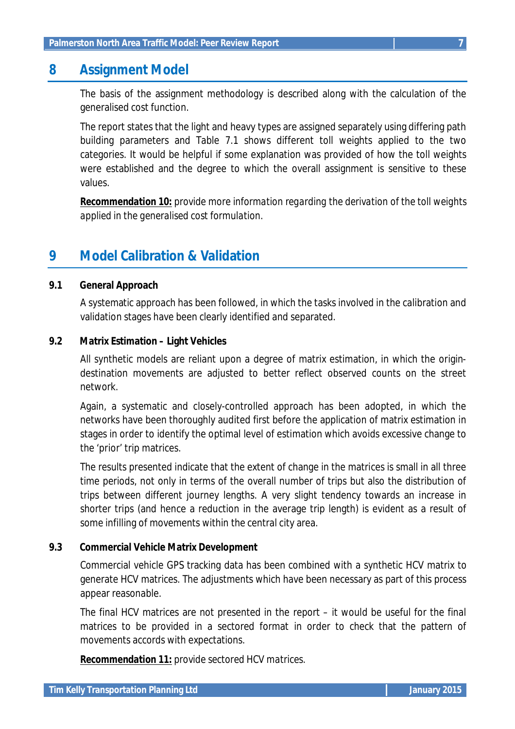### **8 Assignment Model**

The basis of the assignment methodology is described along with the calculation of the generalised cost function.

The report states that the light and heavy types are assigned separately using differing path building parameters and Table 7.1 shows different toll weights applied to the two categories. It would be helpful if some explanation was provided of how the toll weights were established and the degree to which the overall assignment is sensitive to these values.

*Recommendation 10: provide more information regarding the derivation of the toll weights applied in the generalised cost formulation.*

### **9 Model Calibration & Validation**

### **9.1 General Approach**

A systematic approach has been followed, in which the tasks involved in the calibration and validation stages have been clearly identified and separated.

### **9.2 Matrix Estimation – Light Vehicles**

All synthetic models are reliant upon a degree of matrix estimation, in which the origindestination movements are adjusted to better reflect observed counts on the street network.

Again, a systematic and closely-controlled approach has been adopted, in which the networks have been thoroughly audited first before the application of matrix estimation in stages in order to identify the optimal level of estimation which avoids excessive change to the 'prior' trip matrices.

The results presented indicate that the extent of change in the matrices is small in all three time periods, not only in terms of the overall number of trips but also the distribution of trips between different journey lengths. A very slight tendency towards an increase in shorter trips (and hence a reduction in the average trip length) is evident as a result of some infilling of movements within the central city area.

### **9.3 Commercial Vehicle Matrix Development**

Commercial vehicle GPS tracking data has been combined with a synthetic HCV matrix to generate HCV matrices. The adjustments which have been necessary as part of this process appear reasonable.

The final HCV matrices are not presented in the report – it would be useful for the final matrices to be provided in a sectored format in order to check that the pattern of movements accords with expectations.

*Recommendation 11: provide sectored HCV matrices.*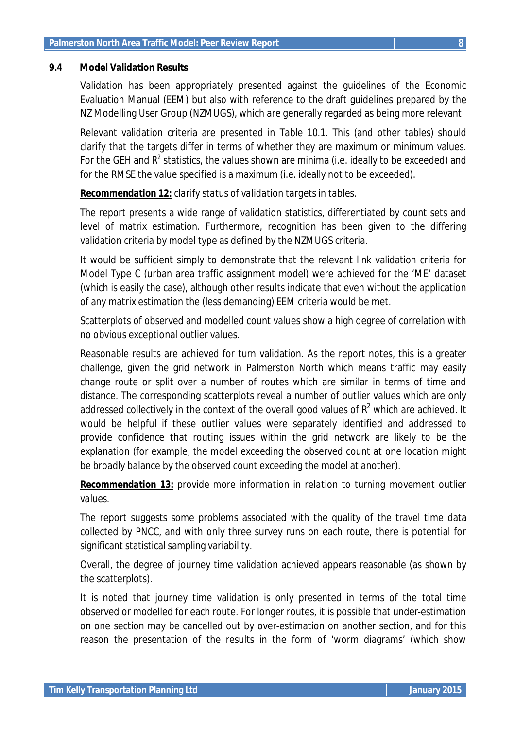#### **9.4 Model Validation Results**

Validation has been appropriately presented against the guidelines of the Economic Evaluation Manual (EEM) but also with reference to the draft guidelines prepared by the NZ Modelling User Group (NZMUGS), which are generally regarded as being more relevant.

Relevant validation criteria are presented in Table 10.1. This (and other tables) should clarify that the targets differ in terms of whether they are maximum or minimum values. For the GEH and  $R^2$  statistics, the values shown are minima (i.e. ideally to be exceeded) and for the RMSE the value specified is a maximum (i.e. ideally not to be exceeded).

### *Recommendation 12: clarify status of validation targets in tables.*

The report presents a wide range of validation statistics, differentiated by count sets and level of matrix estimation. Furthermore, recognition has been given to the differing validation criteria by model type as defined by the NZMUGS criteria.

It would be sufficient simply to demonstrate that the relevant link validation criteria for Model Type C (urban area traffic assignment model) were achieved for the 'ME' dataset (which is easily the case), although other results indicate that even without the application of any matrix estimation the (less demanding) EEM criteria would be met.

Scatterplots of observed and modelled count values show a high degree of correlation with no obvious exceptional outlier values.

Reasonable results are achieved for turn validation. As the report notes, this is a greater challenge, given the grid network in Palmerston North which means traffic may easily change route or split over a number of routes which are similar in terms of time and distance. The corresponding scatterplots reveal a number of outlier values which are only addressed collectively in the context of the overall good values of  $R^2$  which are achieved. It would be helpful if these outlier values were separately identified and addressed to provide confidence that routing issues within the grid network are likely to be the explanation (for example, the model exceeding the observed count at one location might be broadly balance by the observed count exceeding the model at another).

### *Recommendation 13: provide more information in relation to turning movement outlier values.*

The report suggests some problems associated with the quality of the travel time data collected by PNCC, and with only three survey runs on each route, there is potential for significant statistical sampling variability.

Overall, the degree of journey time validation achieved appears reasonable (as shown by the scatterplots).

It is noted that journey time validation is only presented in terms of the total time observed or modelled for each route. For longer routes, it is possible that under-estimation on one section may be cancelled out by over-estimation on another section, and for this reason the presentation of the results in the form of 'worm diagrams' (which show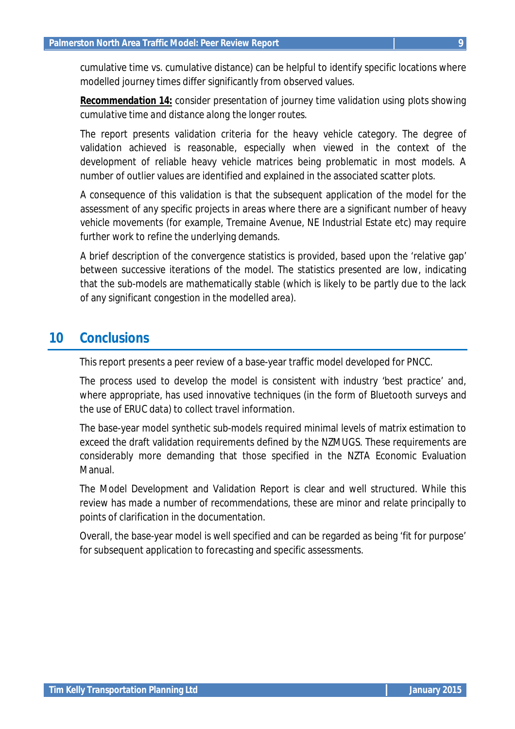cumulative time vs. cumulative distance) can be helpful to identify specific locations where modelled journey times differ significantly from observed values.

*Recommendation 14: consider presentation of journey time validation using plots showing cumulative time and distance along the longer routes.*

The report presents validation criteria for the heavy vehicle category. The degree of validation achieved is reasonable, especially when viewed in the context of the development of reliable heavy vehicle matrices being problematic in most models. A number of outlier values are identified and explained in the associated scatter plots.

A consequence of this validation is that the subsequent application of the model for the assessment of any specific projects in areas where there are a significant number of heavy vehicle movements (for example, Tremaine Avenue, NE Industrial Estate etc) may require further work to refine the underlying demands.

A brief description of the convergence statistics is provided, based upon the 'relative gap' between successive iterations of the model. The statistics presented are low, indicating that the sub-models are mathematically stable (which is likely to be partly due to the lack of any significant congestion in the modelled area).

### **10 Conclusions**

This report presents a peer review of a base-year traffic model developed for PNCC.

The process used to develop the model is consistent with industry 'best practice' and, where appropriate, has used innovative techniques (in the form of Bluetooth surveys and the use of ERUC data) to collect travel information.

The base-year model synthetic sub-models required minimal levels of matrix estimation to exceed the draft validation requirements defined by the NZMUGS. These requirements are considerably more demanding that those specified in the NZTA Economic Evaluation Manual.

The Model Development and Validation Report is clear and well structured. While this review has made a number of recommendations, these are minor and relate principally to points of clarification in the documentation.

Overall, the base-year model is well specified and can be regarded as being 'fit for purpose' for subsequent application to forecasting and specific assessments.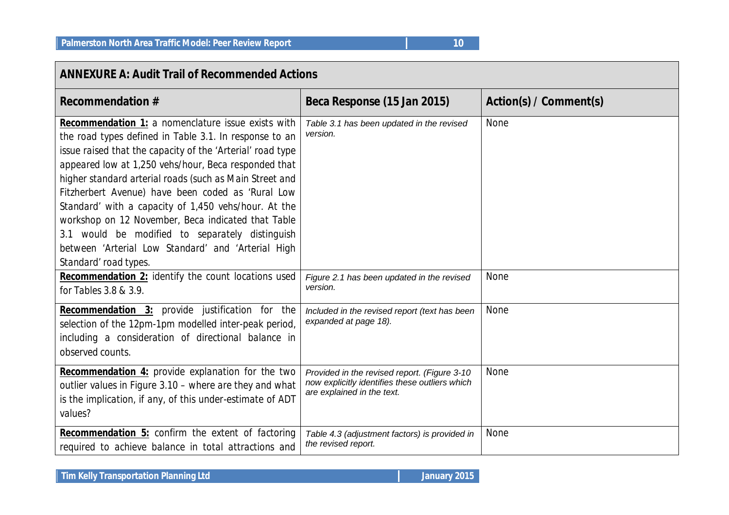| <b>ANNEXURE A: Audit Trail of Recommended Actions</b>                                                                                                                                                                                                                                                                                                                                                                                                                                                                                                                                              |                                                                                                                              |                        |  |  |  |  |
|----------------------------------------------------------------------------------------------------------------------------------------------------------------------------------------------------------------------------------------------------------------------------------------------------------------------------------------------------------------------------------------------------------------------------------------------------------------------------------------------------------------------------------------------------------------------------------------------------|------------------------------------------------------------------------------------------------------------------------------|------------------------|--|--|--|--|
| <b>Recommendation #</b>                                                                                                                                                                                                                                                                                                                                                                                                                                                                                                                                                                            | Beca Response (15 Jan 2015)                                                                                                  | Action(s) / Comment(s) |  |  |  |  |
| Recommendation 1: a nomenclature issue exists with<br>the road types defined in Table 3.1. In response to an<br>issue raised that the capacity of the 'Arterial' road type<br>appeared low at 1,250 vehs/hour, Beca responded that<br>higher standard arterial roads (such as Main Street and<br>Fitzherbert Avenue) have been coded as 'Rural Low<br>Standard' with a capacity of 1,450 vehs/hour. At the<br>workshop on 12 November, Beca indicated that Table<br>3.1 would be modified to separately distinguish<br>between 'Arterial Low Standard' and 'Arterial High<br>Standard' road types. | Table 3.1 has been updated in the revised<br>version.                                                                        | None                   |  |  |  |  |
| <b>Recommendation 2:</b> identify the count locations used<br>for Tables 3.8 & 3.9.                                                                                                                                                                                                                                                                                                                                                                                                                                                                                                                | Figure 2.1 has been updated in the revised<br>version.                                                                       | None                   |  |  |  |  |
| <b>Recommendation 3:</b> provide justification for the<br>selection of the 12pm-1pm modelled inter-peak period,<br>including a consideration of directional balance in<br>observed counts.                                                                                                                                                                                                                                                                                                                                                                                                         | Included in the revised report (text has been<br>expanded at page 18).                                                       | None                   |  |  |  |  |
| Recommendation 4: provide explanation for the two<br>outlier values in Figure 3.10 - where are they and what<br>is the implication, if any, of this under-estimate of ADT<br>values?                                                                                                                                                                                                                                                                                                                                                                                                               | Provided in the revised report. (Figure 3-10<br>now explicitly identifies these outliers which<br>are explained in the text. | None                   |  |  |  |  |
| <b>Recommendation 5:</b> confirm the extent of factoring<br>required to achieve balance in total attractions and                                                                                                                                                                                                                                                                                                                                                                                                                                                                                   | Table 4.3 (adjustment factors) is provided in<br>the revised report.                                                         | None                   |  |  |  |  |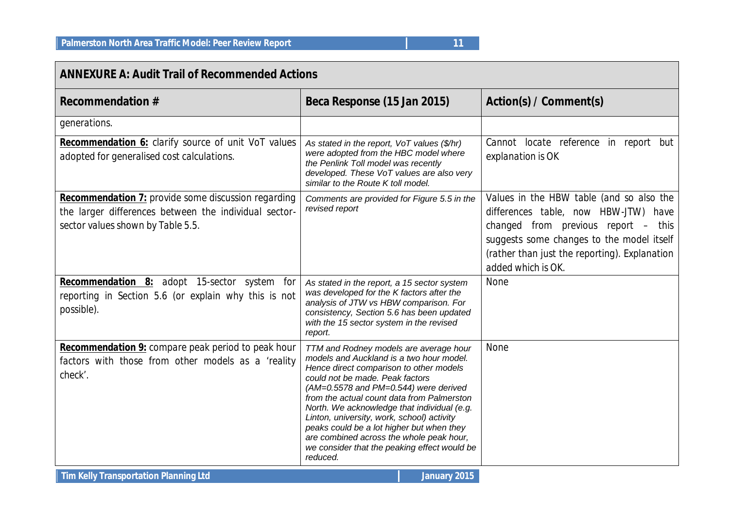### **ANNEXURE A: Audit Trail of Recommended Actions**

| <b>Recommendation #</b>                                                                                                                                  | Beca Response (15 Jan 2015)                                                                                                                                                                                                                                                                                                                                                                                                                                                                               | Action(s) / Comment(s)                                                                                                                                                                                                                      |  |  |  |
|----------------------------------------------------------------------------------------------------------------------------------------------------------|-----------------------------------------------------------------------------------------------------------------------------------------------------------------------------------------------------------------------------------------------------------------------------------------------------------------------------------------------------------------------------------------------------------------------------------------------------------------------------------------------------------|---------------------------------------------------------------------------------------------------------------------------------------------------------------------------------------------------------------------------------------------|--|--|--|
| generations.                                                                                                                                             |                                                                                                                                                                                                                                                                                                                                                                                                                                                                                                           |                                                                                                                                                                                                                                             |  |  |  |
| Recommendation 6: clarify source of unit VoT values<br>adopted for generalised cost calculations.                                                        | As stated in the report, VoT values (\$/hr)<br>were adopted from the HBC model where<br>the Penlink Toll model was recently<br>developed. These VoT values are also very<br>similar to the Route K toll model.                                                                                                                                                                                                                                                                                            | Cannot locate reference in report but<br>explanation is OK                                                                                                                                                                                  |  |  |  |
| <b>Recommendation 7:</b> provide some discussion regarding<br>the larger differences between the individual sector-<br>sector values shown by Table 5.5. | Comments are provided for Figure 5.5 in the<br>revised report                                                                                                                                                                                                                                                                                                                                                                                                                                             | Values in the HBW table (and so also the<br>differences table, now HBW-JTW) have<br>changed from previous report - this<br>suggests some changes to the model itself<br>(rather than just the reporting). Explanation<br>added which is OK. |  |  |  |
| <b>Recommendation 8:</b> adopt 15-sector system for<br>reporting in Section 5.6 (or explain why this is not<br>possible).                                | As stated in the report, a 15 sector system<br>was developed for the K factors after the<br>analysis of JTW vs HBW comparison. For<br>consistency, Section 5.6 has been updated<br>with the 15 sector system in the revised<br>report.                                                                                                                                                                                                                                                                    | None                                                                                                                                                                                                                                        |  |  |  |
| <b>Recommendation 9:</b> compare peak period to peak hour<br>factors with those from other models as a 'reality<br>check'.                               | TTM and Rodney models are average hour<br>models and Auckland is a two hour model.<br>Hence direct comparison to other models<br>could not be made. Peak factors<br>(AM=0.5578 and PM=0.544) were derived<br>from the actual count data from Palmerston<br>North. We acknowledge that individual (e.g.<br>Linton, university, work, school) activity<br>peaks could be a lot higher but when they<br>are combined across the whole peak hour,<br>we consider that the peaking effect would be<br>reduced. | <b>None</b>                                                                                                                                                                                                                                 |  |  |  |

**Tim Kelly Transportation Planning Ltd January 2015**